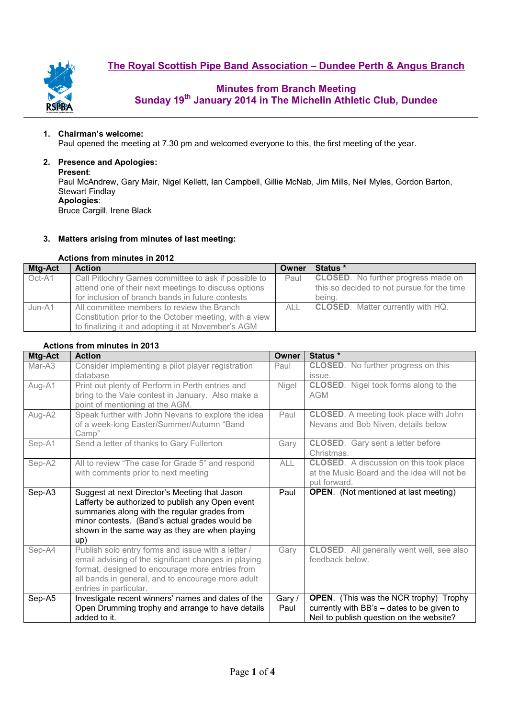

### **Minutes from Branch Meeting Sunday 19th January 2014 in The Michelin Athletic Club, Dundee**

#### **1. Chairman's welcome:**

Paul opened the meeting at 7.30 pm and welcomed everyone to this, the first meeting of the year.

### **2. Presence and Apologies:**

#### **Present**:

Paul McAndrew, Gary Mair, Nigel Kellett, Ian Campbell, Gillie McNab, Jim Mills, Neil Myles, Gordon Barton, Stewart Findlay **Apologies**:

Bruce Cargill, Irene Black

#### **3. Matters arising from minutes of last meeting:**

#### **Actions from minutes in 2012**

| Mtg-Act | <b>Action</b>                                          | Owner | Status *                                             |  |  |  |
|---------|--------------------------------------------------------|-------|------------------------------------------------------|--|--|--|
| Oct-A1  | Call Pitlochry Games committee to ask if possible to   | Paul  | <b>CLOSED.</b> No further progress made on           |  |  |  |
|         | attend one of their next meetings to discuss options   |       | this so decided to not pursue for the time<br>being. |  |  |  |
|         | for inclusion of branch bands in future contests       |       |                                                      |  |  |  |
| Jun-A1  | All committee members to review the Branch             | ALL   | <b>CLOSED.</b> Matter currently with HQ.             |  |  |  |
|         | Constitution prior to the October meeting, with a view |       |                                                      |  |  |  |
|         | to finalizing it and adopting it at November's AGM     |       |                                                      |  |  |  |

### **Actions from minutes in 2013**

| <b>Mtg-Act</b> | <b>Action</b>                                                                                                                                                                                                                                                | <b>Owner</b>   | Status <sup>*</sup>                                                                                                                     |  |  |  |
|----------------|--------------------------------------------------------------------------------------------------------------------------------------------------------------------------------------------------------------------------------------------------------------|----------------|-----------------------------------------------------------------------------------------------------------------------------------------|--|--|--|
| Mar-A3         | Consider implementing a pilot player registration<br>database                                                                                                                                                                                                | Paul           | <b>CLOSED.</b> No further progress on this<br>issue.                                                                                    |  |  |  |
| Aug-A1         | Print out plenty of Perform in Perth entries and<br>bring to the Vale contest in January. Also make a<br>point of mentioning at the AGM.                                                                                                                     | Nigel          | <b>CLOSED.</b> Nigel took forms along to the<br><b>AGM</b>                                                                              |  |  |  |
| Aug-A2         | Speak further with John Nevans to explore the idea<br>of a week-long Easter/Summer/Autumn "Band<br>Camp"                                                                                                                                                     | Paul           | <b>CLOSED.</b> A meeting took place with John<br>Nevans and Bob Niven, details below                                                    |  |  |  |
| Sep-A1         | Send a letter of thanks to Gary Fullerton                                                                                                                                                                                                                    | Gary           | <b>CLOSED.</b> Gary sent a letter before<br>Christmas.                                                                                  |  |  |  |
| Sep-A2         | All to review "The case for Grade 5" and respond<br>with comments prior to next meeting                                                                                                                                                                      | <b>ALL</b>     | <b>CLOSED.</b> A discussion on this took place<br>at the Music Board and the idea will not be<br>put forward.                           |  |  |  |
| Sep-A3         | Suggest at next Director's Meeting that Jason<br>Lafferty be authorized to publish any Open event<br>summaries along with the regular grades from<br>minor contests. (Band's actual grades would be<br>shown in the same way as they are when playing<br>up) | Paul           | <b>OPEN.</b> (Not mentioned at last meeting)                                                                                            |  |  |  |
| Sep-A4         | Publish solo entry forms and issue with a letter /<br>email advising of the significant changes in playing<br>format, designed to encourage more entries from<br>all bands in general, and to encourage more adult<br>entries in particular.                 | Gary           | <b>CLOSED.</b> All generally went well, see also<br>feedback below.                                                                     |  |  |  |
| Sep-A5         | Investigate recent winners' names and dates of the<br>Open Drumming trophy and arrange to have details<br>added to it.                                                                                                                                       | Gary /<br>Paul | <b>OPEN.</b> (This was the NCR trophy) Trophy<br>currently with BB's - dates to be given to<br>Neil to publish question on the website? |  |  |  |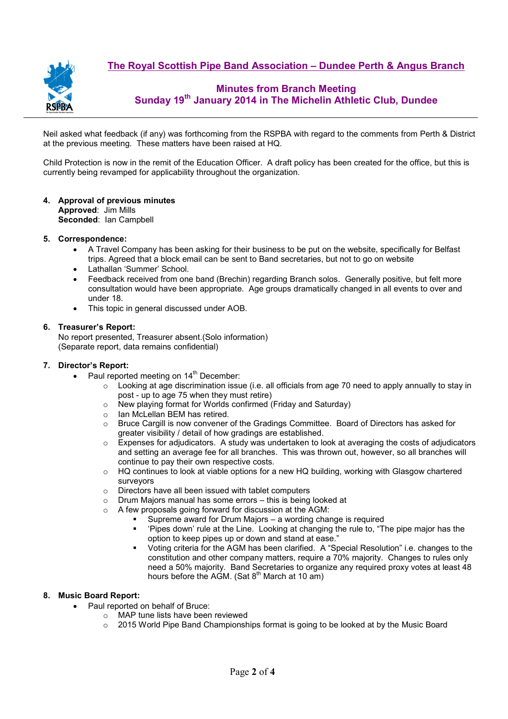**The Royal Scottish Pipe Band Association – Dundee Perth & Angus Branch**



## **Minutes from Branch Meeting Sunday 19th January 2014 in The Michelin Athletic Club, Dundee**

Neil asked what feedback (if any) was forthcoming from the RSPBA with regard to the comments from Perth & District at the previous meeting. These matters have been raised at HQ.

Child Protection is now in the remit of the Education Officer. A draft policy has been created for the office, but this is currently being revamped for applicability throughout the organization.

#### **4. Approval of previous minutes Approved**: Jim Mills **Seconded**: Ian Campbell

#### **5. Correspondence:**

- A Travel Company has been asking for their business to be put on the website, specifically for Belfast trips. Agreed that a block email can be sent to Band secretaries, but not to go on website
- Lathallan 'Summer' School.
- Feedback received from one band (Brechin) regarding Branch solos. Generally positive, but felt more consultation would have been appropriate. Age groups dramatically changed in all events to over and under 18.
- This topic in general discussed under AOB.

#### **6. Treasurer's Report:**

No report presented, Treasurer absent.(Solo information) (Separate report, data remains confidential)

#### **7. Director's Report:**

- Paul reported meeting on 14<sup>th</sup> December:
	- $\circ$  Looking at age discrimination issue (i.e. all officials from age 70 need to apply annually to stay in post - up to age 75 when they must retire)
	- o New playing format for Worlds confirmed (Friday and Saturday)
	- o Ian McLellan BEM has retired.
	- o Bruce Cargill is now convener of the Gradings Committee. Board of Directors has asked for greater visibility / detail of how gradings are established.
	- $\circ$  Expenses for adjudicators. A study was undertaken to look at averaging the costs of adjudicators and setting an average fee for all branches. This was thrown out, however, so all branches will continue to pay their own respective costs.
	- $\circ$  HQ continues to look at viable options for a new HQ building, working with Glasgow chartered surveyors
	- o Directors have all been issued with tablet computers
	- o Drum Majors manual has some errors this is being looked at
	- o A few proposals going forward for discussion at the AGM:
		- Supreme award for Drum Majors a wording change is required<br>Suppose down't use of the Line Looking at changing the rule to "The Line"
			- 'Pipes down' rule at the Line. Looking at changing the rule to, "The pipe major has the option to keep pipes up or down and stand at ease."
			- Voting criteria for the AGM has been clarified. A "Special Resolution" i.e. changes to the constitution and other company matters, require a 70% majority. Changes to rules only need a 50% majority. Band Secretaries to organize any required proxy votes at least 48 hours before the AGM. (Sat  $8<sup>th</sup>$  March at 10 am)

#### **8. Music Board Report:**

- Paul reported on behalf of Bruce:
	- o MAP tune lists have been reviewed
	- $\circ$  2015 World Pipe Band Championships format is going to be looked at by the Music Board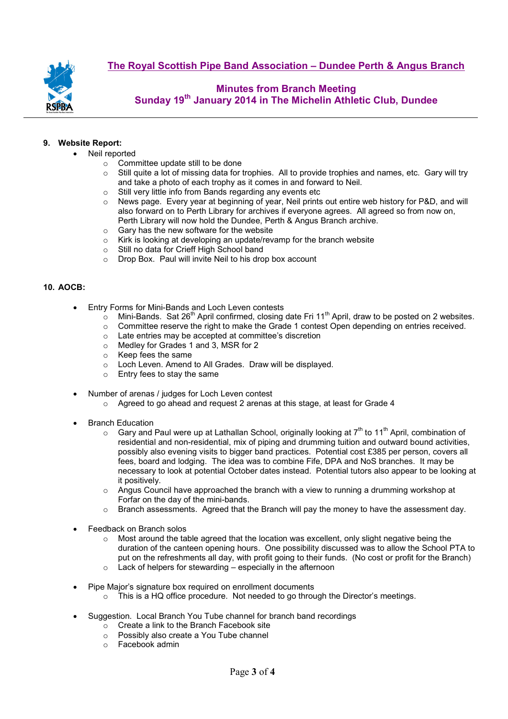

## **Minutes from Branch Meeting Sunday 19th January 2014 in The Michelin Athletic Club, Dundee**

#### **9. Website Report:**

- Neil reported
	- o Committee update still to be done
	- $\circ$  Still quite a lot of missing data for trophies. All to provide trophies and names, etc. Gary will try and take a photo of each trophy as it comes in and forward to Neil.
	-
	- o Still very little info from Bands regarding any events etc o News page. Every year at beginning of year, Neil prints News page. Every year at beginning of year. Neil prints out entire web history for P&D, and will also forward on to Perth Library for archives if everyone agrees. All agreed so from now on, Perth Library will now hold the Dundee, Perth & Angus Branch archive.
	- o Gary has the new software for the website
	- o Kirk is looking at developing an update/revamp for the branch website
	- o Still no data for Crieff High School band
	- o Drop Box. Paul will invite Neil to his drop box account

#### **10. AOCB:**

- Entry Forms for Mini-Bands and Loch Leven contests
	- $\circ$  Mini-Bands. Sat 26<sup>th</sup> April confirmed, closing date Fri 11<sup>th</sup> April, draw to be posted on 2 websites.
	- o Committee reserve the right to make the Grade 1 contest Open depending on entries received.
	- o Late entries may be accepted at committee's discretion
	- o Medley for Grades 1 and 3, MSR for 2
	- o Keep fees the same
	- o Loch Leven. Amend to All Grades. Draw will be displayed.
	- o Entry fees to stay the same
- Number of arenas / judges for Loch Leven contest
	- o Agreed to go ahead and request 2 arenas at this stage, at least for Grade 4
- Branch Education
	- $\circ$  Gary and Paul were up at Lathallan School, originally looking at 7<sup>th</sup> to 11<sup>th</sup> April, combination of residential and non-residential, mix of piping and drumming tuition and outward bound activities, possibly also evening visits to bigger band practices. Potential cost £385 per person, covers all fees, board and lodging. The idea was to combine Fife, DPA and NoS branches. It may be necessary to look at potential October dates instead. Potential tutors also appear to be looking at it positively.
	- o Angus Council have approached the branch with a view to running a drumming workshop at Forfar on the day of the mini-bands.
	- o Branch assessments. Agreed that the Branch will pay the money to have the assessment day.
- Feedback on Branch solos
	- $\circ$  Most around the table agreed that the location was excellent, only slight negative being the duration of the canteen opening hours. One possibility discussed was to allow the School PTA to put on the refreshments all day, with profit going to their funds. (No cost or profit for the Branch)
	- $\circ$  Lack of helpers for stewarding especially in the afternoon
- Pipe Major's signature box required on enrollment documents
	- $\circ$  This is a HQ office procedure. Not needed to go through the Director's meetings.
- Suggestion. Local Branch You Tube channel for branch band recordings
	- o Create a link to the Branch Facebook site
	- o Possibly also create a You Tube channel
	- o Facebook admin